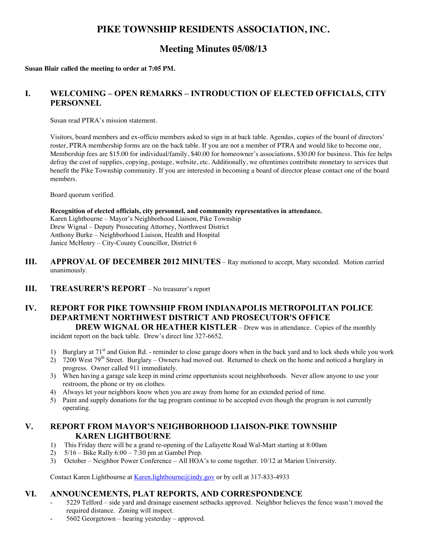## **PIKE TOWNSHIP RESIDENTS ASSOCIATION, INC.**

# **Meeting Minutes 05/08/13**

**Susan Blair called the meeting to order at 7:05 PM.**

## **I. WELCOMING – OPEN REMARKS – INTRODUCTION OF ELECTED OFFICIALS, CITY PERSONNEL**

Susan read PTRA's mission statement.

Visitors, board members and ex-officio members asked to sign in at back table. Agendas, copies of the board of directors' roster, PTRA membership forms are on the back table. If you are not a member of PTRA and would like to become one, Membership fees are \$15.00 for individual/family, \$40.00 for homeowner's associations, \$30.00 for business. This fee helps defray the cost of supplies, copying, postage, website, etc. Additionally, we oftentimes contribute monetary to services that benefit the Pike Township community. If you are interested in becoming a board of director please contact one of the board members.

Board quorum verified.

**Recognition of elected officials, city personnel, and community representatives in attendance.** Karen Lightbourne – Mayor's Neighborhood Liaison, Pike Township Drew Wignal – Deputy Prosecuting Attorney, Northwest District Anthony Burke – Neighborhood Liaison, Health and Hospital Janice McHenry – City-County Councillor, District 6

- **III. APPROVAL OF DECEMBER 2012 MINUTES** Ray motioned to accept, Mary seconded. Motion carried unanimously.
- **III. TREASURER'S REPORT** No treasurer's report

# **IV. REPORT FOR PIKE TOWNSHIP FROM INDIANAPOLIS METROPOLITAN POLICE DEPARTMENT NORTHWEST DISTRICT AND PROSECUTOR'S OFFICE**

**DREW WIGNAL OR HEATHER KISTLER** – Drew was in attendance. Copies of the monthly incident report on the back table. Drew's direct line 327-6652.

- 1) Burglary at 71<sup>st</sup> and Guion Rd. reminder to close garage doors when in the back yard and to lock sheds while you work
- 2) 7200 West 79<sup>th</sup> Street. Burglary Owners had moved out. Returned to check on the home and noticed a burglary in progress. Owner called 911 immediately.
- 3) When having a garage sale keep in mind crime opportunists scout neighborhoods. Never allow anyone to use your restroom, the phone or try on clothes.
- 4) Always let your neighbors know when you are away from home for an extended period of time.
- 5) Paint and supply donations for the tag program continue to be accepted even though the program is not currently operating.

#### **V. REPORT FROM MAYOR'S NEIGHBORHOOD LIAISON-PIKE TOWNSHIP KAREN LIGHTBOURNE**

- 1) This Friday there will be a grand re-opening of the Lafayette Road Wal-Mart starting at 8:00am
- 2) 5/16 Bike Rally 6:00 7:30 pm at Gambel Prep.
- 3) October Neighbor Power Conference All HOA's to come together. 10/12 at Marion University.

Contact Karen Lightbourne at Karen.lightbourne@indy.gov or by cell at 317-833-4933

#### **VI. ANNOUNCEMENTS, PLAT REPORTS, AND CORRESPONDENCE**

- 5229 Telford side yard and drainage easement setbacks approved. Neighbor believes the fence wasn't moved the required distance. Zoning will inspect.
- 5602 Georgetown hearing yesterday approved.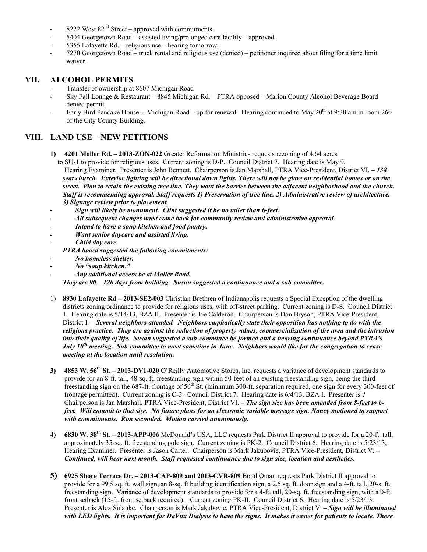- 8222 West  $82<sup>nd</sup>$  Street approved with commitments.
- 5404 Georgetown Road assisted living/prolonged care facility approved.
- 5355 Lafayette Rd. religious use hearing tomorrow.
- 7270 Georgetown Road truck rental and religious use (denied) petitioner inquired about filing for a time limit waiver.

#### **VII. ALCOHOL PERMITS**

- Transfer of ownership at 8607 Michigan Road
- Sky Fall Lounge & Restaurant 8845 Michigan Rd. PTRA opposed Marion County Alcohol Beverage Board denied permit.
- Early Bird Pancake House -- Michigan Road up for renewal. Hearing continued to May 20<sup>th</sup> at 9:30 am in room 260 of the City County Building.

#### **VIII. LAND USE – NEW PETITIONS**

**1) 4201 Moller Rd. – 2013-ZON-022** Greater Reformation Ministries requests rezoning of 4.64 acres

 to SU-1 to provide for religious uses. Current zoning is D-P. Council District 7. Hearing date is May 9, Hearing Examiner. Presenter is John Bennett. Chairperson is Jan Marshall, PTRA Vice-President, District VI. *– 138 seat church. Exterior lighting will be directional down lights. There will not be glare on residential homes or on the street. Plan to retain the existing tree line. They want the barrier between the adjacent neighborhood and the church. Staff is recommending approval. Staff requests 1) Preservation of tree line. 2) Administrative review of architecture. 3) Signage review prior to placement.*

- *- Sign will likely be monument. Clint suggested it be no taller than 6-feet.*
- *- All subsequent changes must come back for community review and administrative approval.*
- *- Intend to have a soup kitchen and food pantry.*
- *- Want senior daycare and assisted living.*
- *- Child day care.*
	- *PTRA board suggested the following commitments:*
- *- No homeless shelter.*
- *- No "soup kitchen."*
- *- Any additional access be at Moller Road.*

*They are 90 – 120 days from building. Susan suggested a continuance and a sub-committee.*

- 1) **8930 Lafayette Rd 2013-SE2-003** Christian Brethren of Indianapolis requests a Special Exception of the dwelling districts zoning ordinance to provide for religious uses, with off-street parking. Current zoning is D-S. Council District 1. Hearing date is 5/14/13, BZA II. Presenter is Joe Calderon. Chairperson is Don Bryson, PTRA Vice-President, District I. *– Several neighbors attended. Neighbors emphatically state their opposition has nothing to do with the religious practice. They are against the reduction of property values, commercialization of the area and the intrusion into their quality of life. Susan suggested a sub-committee be formed and a hearing continuance beyond PTRA's July 10th meeting. Sub-committee to meet sometime in June. Neighbors would like for the congregation to cease meeting at the location until resolution.*
- **3) 4853 W. 56th St. 2013-DV1-020** O'Reilly Automotive Stores, Inc. requests a variance of development standards to provide for an 8-ft. tall, 48-sq. ft. freestanding sign within 50-feet of an existing freestanding sign, being the third freestanding sign on the 687-ft. frontage of 56<sup>th</sup> St. (minimum 300-ft. separation required, one sign for every 300-feet of frontage permitted). Current zoning is C-3. Council District 7. Hearing date is 6/4/13, BZA I. Presenter is ? Chairperson is Jan Marshall, PTRA Vice-President, District VI. *– The sign size has been amended from 8-feet to 6 feet. Will commit to that size. No future plans for an electronic variable message sign. Nancy motioned to support with commitments. Ron seconded. Motion carried unanimously.*
- 4) **6830 W. 38th St. 2013-APP-006** McDonald's USA, LLC requests Park District II approval to provide for a 20-ft. tall, approximately 35-sq. ft. freestanding pole sign. Current zoning is PK-2. Council District 6. Hearing date is 5/23/13, Hearing Examiner. Presenter is Jason Carter. Chairperson is Mark Jakubovie, PTRA Vice-President, District V. **–** *Continued, will hear next month. Staff requested continuance due to sign size, location and aesthetics.*
- **5) 6925 Shore Terrace Dr. 2013-CAP-809 and 2013-CVR-809** Bond Oman requests Park District II approval to provide for a 99.5 sq. ft. wall sign, an 8-sq. ft building identification sign, a 2.5 sq. ft. door sign and a 4-ft. tall, 20-s. ft. freestanding sign. Variance of development standards to provide for a 4-ft. tall, 20-sq. ft. freestanding sign, with a 0-ft. front setback (15-ft. front setback required). Current zoning PK-II. Council District 6. Hearing date is 5/23/13. Presenter is Alex Sulanke. Chairperson is Mark Jakubovie, PTRA Vice-President, District V. *– Sign will be illuminated with LED lights. It is important for DaVita Dialysis to have the signs. It makes it easier for patients to locate. There*